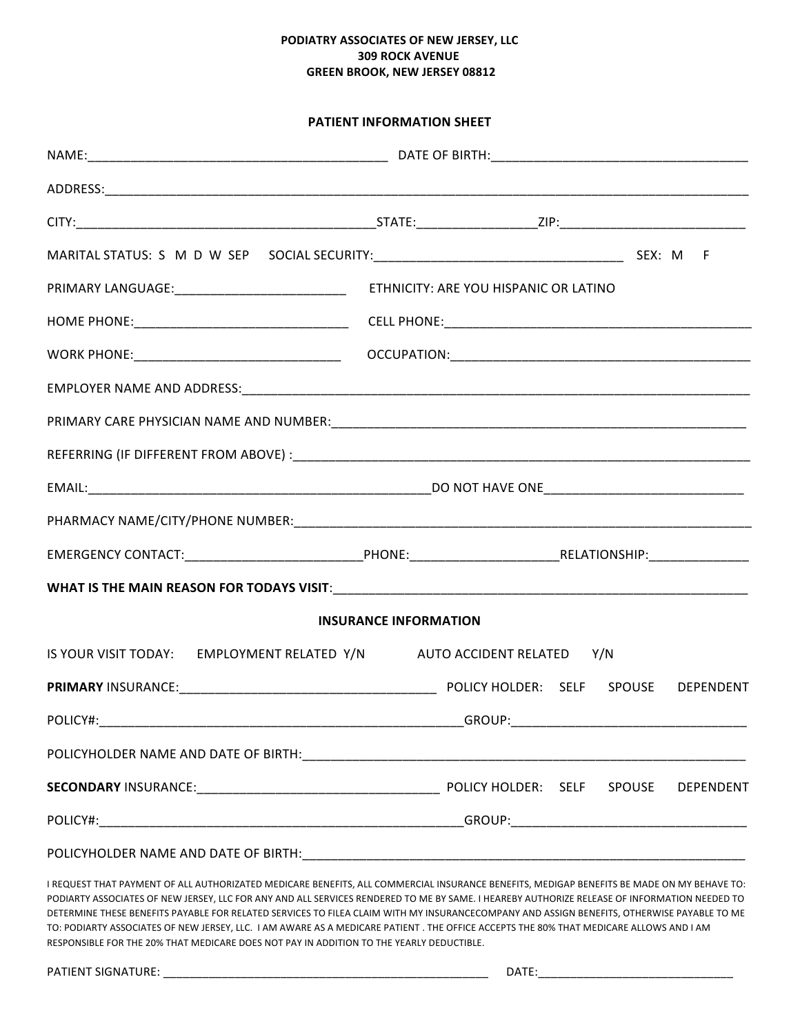### **PODIATRY ASSOCIATES OF NEW JERSEY, LLC 309 ROCK AVENUE GREEN BROOK, NEW JERSEY 08812**

### **PATIENT INFORMATION SHEET**

| <b>INSURANCE INFORMATION</b> |                                                                                                                                                                                                                                                                                            |  |  |  |  |  |  |
|------------------------------|--------------------------------------------------------------------------------------------------------------------------------------------------------------------------------------------------------------------------------------------------------------------------------------------|--|--|--|--|--|--|
|                              | IS YOUR VISIT TODAY: EMPLOYMENT RELATED Y/N AUTO ACCIDENT RELATED Y/N                                                                                                                                                                                                                      |  |  |  |  |  |  |
|                              |                                                                                                                                                                                                                                                                                            |  |  |  |  |  |  |
|                              |                                                                                                                                                                                                                                                                                            |  |  |  |  |  |  |
|                              |                                                                                                                                                                                                                                                                                            |  |  |  |  |  |  |
|                              |                                                                                                                                                                                                                                                                                            |  |  |  |  |  |  |
|                              |                                                                                                                                                                                                                                                                                            |  |  |  |  |  |  |
|                              |                                                                                                                                                                                                                                                                                            |  |  |  |  |  |  |
|                              | I REQUEST THAT PAYMENT OF ALL AUTHORIZATED MEDICARE BENEFITS, ALL COMMERCIAL INSURANCE BENEFITS, MEDIGAP BENEFITS BE MADE ON MY BEHAVE TO:<br>PODIARTY ASSOCIATES OF NEW JERSEY, LLC FOR ANY AND ALL SERVICES RENDERED TO ME BY SAME. I HEAREBY AUTHORIZE RELEASE OF INFORMATION NEEDED TO |  |  |  |  |  |  |

DETERMINE THESE BENEFITS PAYABLE FOR RELATED SERVICES TO FILEA CLAIM WITH MY INSURANCECOMPANY AND ASSIGN BENEFITS, OTHERWISE PAYABLE TO ME TO: PODIARTY ASSOCIATES OF NEW JERSEY, LLC. I AM AWARE AS A MEDICARE PATIENT . THE OFFICE ACCEPTS THE 80% THAT MEDICARE ALLOWS AND I AM RESPONSIBLE FOR THE 20% THAT MEDICARE DOES NOT PAY IN ADDITION TO THE YEARLY DEDUCTIBLE.

PATIENT SIGNATURE: \_\_\_\_\_\_\_\_\_\_\_\_\_\_\_\_\_\_\_\_\_\_\_\_\_\_\_\_\_\_\_\_\_\_\_\_\_\_\_\_\_\_\_\_\_\_\_\_\_\_ DATE:\_\_\_\_\_\_\_\_\_\_\_\_\_\_\_\_\_\_\_\_\_\_\_\_\_\_\_\_\_\_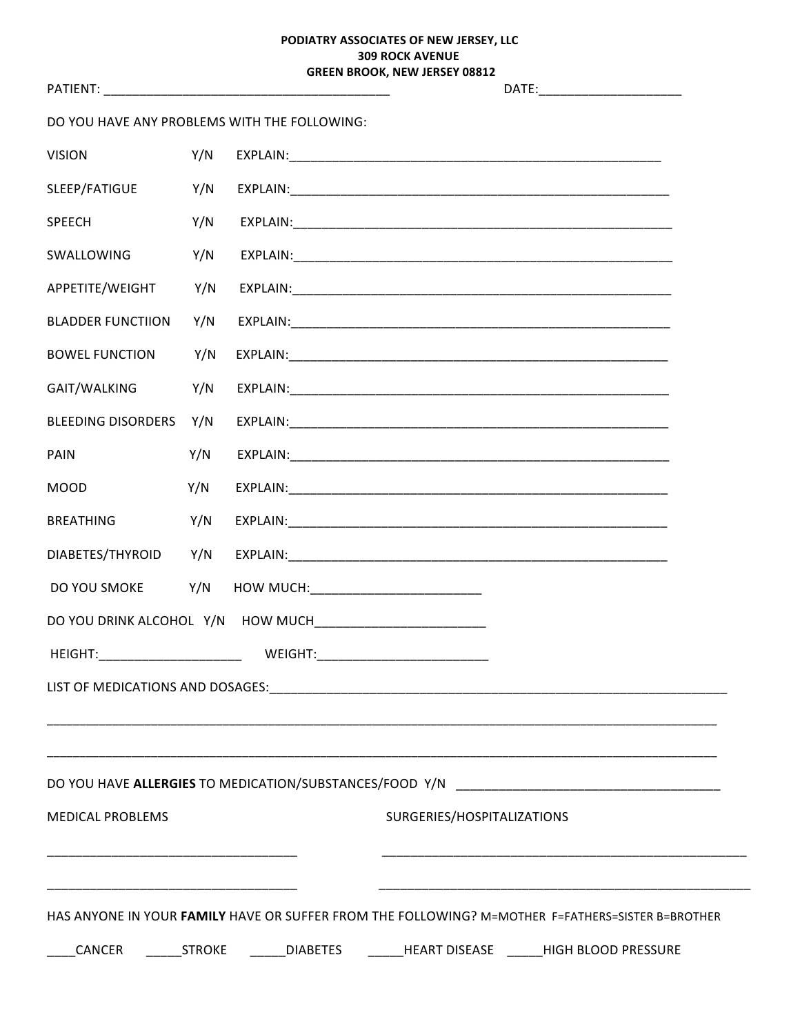### PODIATRY ASSOCIATES OF NEW JERSEY, LLC از ۱۷۵۷ میں ہے۔<br>309 ROCK AVENUE<br>GREEN PROCU - - -

|                                                                                                  |     |                                                       | <b>GREEN BROOK, NEW JERSEY 08812</b> | DATE:__________________________ |  |  |  |
|--------------------------------------------------------------------------------------------------|-----|-------------------------------------------------------|--------------------------------------|---------------------------------|--|--|--|
| DO YOU HAVE ANY PROBLEMS WITH THE FOLLOWING:                                                     |     |                                                       |                                      |                                 |  |  |  |
| <b>VISION</b>                                                                                    | Y/N |                                                       |                                      |                                 |  |  |  |
| SLEEP/FATIGUE                                                                                    | Y/N |                                                       |                                      |                                 |  |  |  |
| <b>SPEECH</b>                                                                                    | Y/N |                                                       |                                      |                                 |  |  |  |
| SWALLOWING                                                                                       | Y/N |                                                       |                                      |                                 |  |  |  |
| APPETITE/WEIGHT                                                                                  | Y/N |                                                       |                                      |                                 |  |  |  |
| <b>BLADDER FUNCTIION</b>                                                                         | Y/N |                                                       |                                      |                                 |  |  |  |
| <b>BOWEL FUNCTION</b>                                                                            | Y/N |                                                       |                                      |                                 |  |  |  |
| GAIT/WALKING                                                                                     | Y/N |                                                       |                                      |                                 |  |  |  |
| BLEEDING DISORDERS Y/N                                                                           |     |                                                       |                                      |                                 |  |  |  |
| <b>PAIN</b>                                                                                      | Y/N |                                                       |                                      |                                 |  |  |  |
| <b>MOOD</b>                                                                                      | Y/N |                                                       |                                      |                                 |  |  |  |
| <b>BREATHING</b>                                                                                 | Y/N |                                                       |                                      |                                 |  |  |  |
| DIABETES/THYROID                                                                                 | Y/N |                                                       |                                      |                                 |  |  |  |
| DO YOU SMOKE                                                                                     | Y/N |                                                       |                                      |                                 |  |  |  |
| DO YOU DRINK ALCOHOL Y/N HOW MUCH__________________________                                      |     |                                                       |                                      |                                 |  |  |  |
| HEIGHT:                                                                                          |     | _____________________  WEIGHT:_______________________ |                                      |                                 |  |  |  |
|                                                                                                  |     |                                                       |                                      |                                 |  |  |  |
|                                                                                                  |     |                                                       |                                      |                                 |  |  |  |
|                                                                                                  |     |                                                       |                                      |                                 |  |  |  |
| <b>MEDICAL PROBLEMS</b>                                                                          |     |                                                       | SURGERIES/HOSPITALIZATIONS           |                                 |  |  |  |
|                                                                                                  |     |                                                       |                                      |                                 |  |  |  |
|                                                                                                  |     |                                                       |                                      |                                 |  |  |  |
| HAS ANYONE IN YOUR FAMILY HAVE OR SUFFER FROM THE FOLLOWING? M=MOTHER F=FATHERS=SISTER B=BROTHER |     |                                                       |                                      |                                 |  |  |  |
| CANCER _______STROKE _______DIABETES ________HEART DISEASE ______HIGH BLOOD PRESSURE             |     |                                                       |                                      |                                 |  |  |  |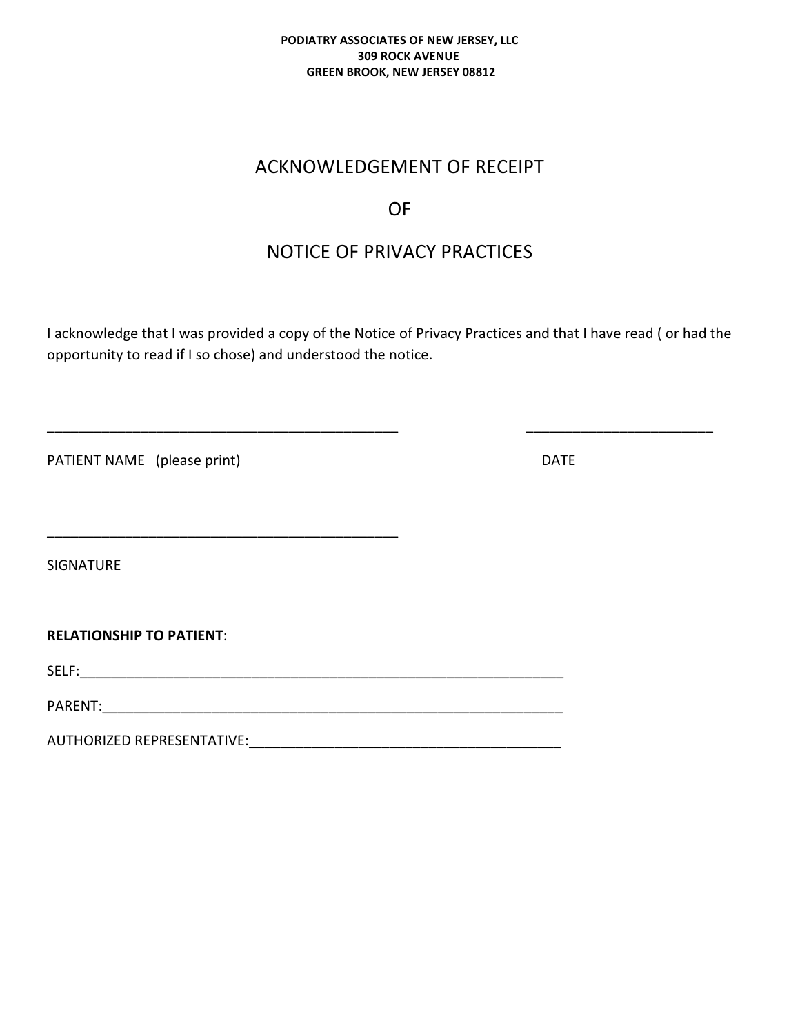### **PODIATRY ASSOCIATES OF NEW JERSEY, LLC 309 ROCK AVENUE GREEN BROOK, NEW JERSEY 08812**

## ACKNOWLEDGEMENT OF RECEIPT

## OF

# NOTICE OF PRIVACY PRACTICES

I acknowledge that I was provided a copy of the Notice of Privacy Practices and that I have read ( or had the opportunity to read if I so chose) and understood the notice.

\_\_\_\_\_\_\_\_\_\_\_\_\_\_\_\_\_\_\_\_\_\_\_\_\_\_\_\_\_\_\_\_\_\_\_\_\_\_\_\_\_\_\_\_\_ \_\_\_\_\_\_\_\_\_\_\_\_\_\_\_\_\_\_\_\_\_\_\_\_

PATIENT NAME (please print) DATE

\_\_\_\_\_\_\_\_\_\_\_\_\_\_\_\_\_\_\_\_\_\_\_\_\_\_\_\_\_\_\_\_\_\_\_\_\_\_\_\_\_\_\_\_\_

SIGNATURE

**RELATIONSHIP TO PATIENT:** 

SELF:\_\_\_\_\_\_\_\_\_\_\_\_\_\_\_\_\_\_\_\_\_\_\_\_\_\_\_\_\_\_\_\_\_\_\_\_\_\_\_\_\_\_\_\_\_\_\_\_\_\_\_\_\_\_\_\_\_\_\_\_\_\_

PARENT:

AUTHORIZED REPRESENTATIVE: **EXAMPLE 2018**